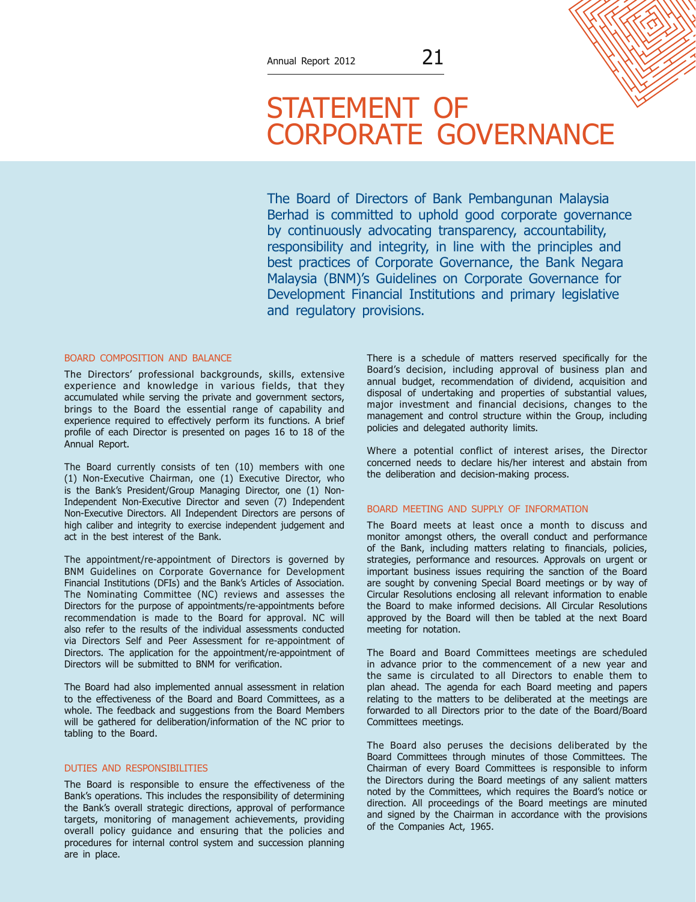# STATEMENT OF CORPORATE GOVERNANCE

The Board of Directors of Bank Pembangunan Malaysia Berhad is committed to uphold good corporate governance by continuously advocating transparency, accountability, responsibility and integrity, in line with the principles and best practices of Corporate Governance, the Bank Negara Malaysia (BNM)'s Guidelines on Corporate Governance for Development Financial Institutions and primary legislative and regulatory provisions.

#### Board Composition and Balance

The Directors' professional backgrounds, skills, extensive experience and knowledge in various fields, that they accumulated while serving the private and government sectors, brings to the Board the essential range of capability and experience required to effectively perform its functions. A brief profile of each Director is presented on pages 16 to 18 of the Annual Report.

The Board currently consists of ten (10) members with one (1) Non-Executive Chairman, one (1) Executive Director, who is the Bank's President/Group Managing Director, one (1) Non-Independent Non-Executive Director and seven (7) Independent Non-Executive Directors. All Independent Directors are persons of high caliber and integrity to exercise independent judgement and act in the best interest of the Bank.

The appointment/re-appointment of Directors is governed by BNM Guidelines on Corporate Governance for Development Financial Institutions (DFIs) and the Bank's Articles of Association. The Nominating Committee (NC) reviews and assesses the Directors for the purpose of appointments/re-appointments before recommendation is made to the Board for approval. NC will also refer to the results of the individual assessments conducted via Directors Self and Peer Assessment for re-appointment of Directors. The application for the appointment/re-appointment of Directors will be submitted to BNM for verification.

The Board had also implemented annual assessment in relation to the effectiveness of the Board and Board Committees, as a whole. The feedback and suggestions from the Board Members will be gathered for deliberation/information of the NC prior to tabling to the Board.

## Duties and Responsibilities

The Board is responsible to ensure the effectiveness of the Bank's operations. This includes the responsibility of determining the Bank's overall strategic directions, approval of performance targets, monitoring of management achievements, providing overall policy guidance and ensuring that the policies and procedures for internal control system and succession planning are in place.

There is a schedule of matters reserved specifically for the Board's decision, including approval of business plan and annual budget, recommendation of dividend, acquisition and disposal of undertaking and properties of substantial values, major investment and financial decisions, changes to the management and control structure within the Group, including policies and delegated authority limits.

Where a potential conflict of interest arises, the Director concerned needs to declare his/her interest and abstain from the deliberation and decision-making process.

#### Board Meeting And Supply Of Information

The Board meets at least once a month to discuss and monitor amongst others, the overall conduct and performance of the Bank, including matters relating to financials, policies, strategies, performance and resources. Approvals on urgent or important business issues requiring the sanction of the Board are sought by convening Special Board meetings or by way of Circular Resolutions enclosing all relevant information to enable the Board to make informed decisions. All Circular Resolutions approved by the Board will then be tabled at the next Board meeting for notation.

The Board and Board Committees meetings are scheduled in advance prior to the commencement of a new year and the same is circulated to all Directors to enable them to plan ahead. The agenda for each Board meeting and papers relating to the matters to be deliberated at the meetings are forwarded to all Directors prior to the date of the Board/Board Committees meetings.

The Board also peruses the decisions deliberated by the Board Committees through minutes of those Committees. The Chairman of every Board Committees is responsible to inform the Directors during the Board meetings of any salient matters noted by the Committees, which requires the Board's notice or direction. All proceedings of the Board meetings are minuted and signed by the Chairman in accordance with the provisions of the Companies Act, 1965.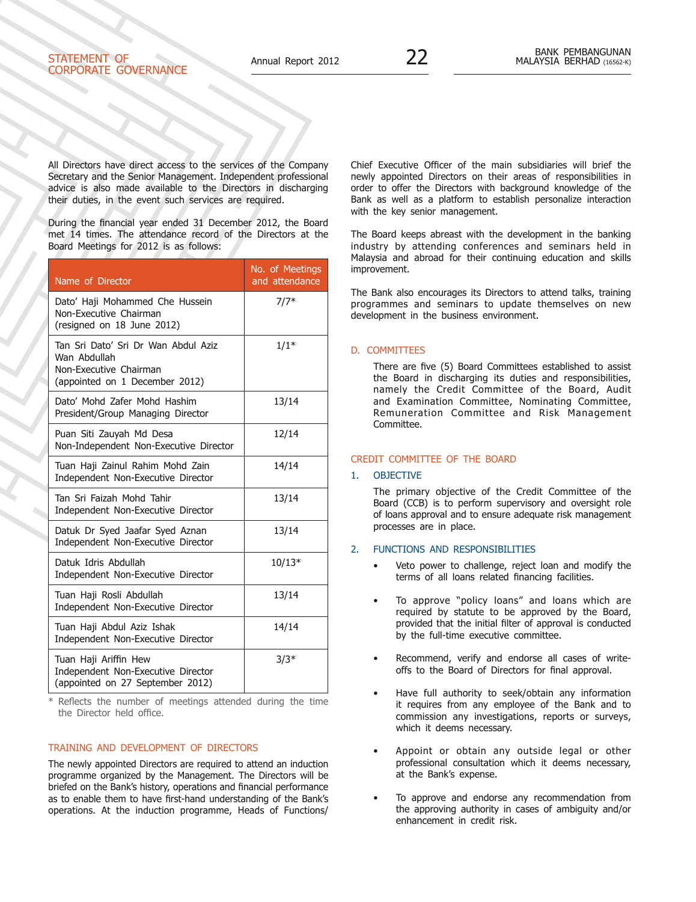# STATEMENT OF Corporate Governance

All Directors have direct access to the services of the Company Secretary and the Senior Management. Independent professional advice is also made available to the Directors in discharging their duties, in the event such services are required.

During the financial year ended 31 December 2012, the Board met 14 times. The attendance record of the Directors at the Board Meetings for 2012 is as follows:

| Name of Director                                                                                                | No. of Meetings<br>and attendance |
|-----------------------------------------------------------------------------------------------------------------|-----------------------------------|
| Dato' Haji Mohammed Che Hussein<br>Non-Executive Chairman<br>(resigned on 18 June 2012)                         | $7/7*$                            |
| Tan Sri Dato' Sri Dr Wan Abdul Aziz<br>Wan Abdullah<br>Non-Executive Chairman<br>(appointed on 1 December 2012) | $1/1*$                            |
| Dato' Mohd Zafer Mohd Hashim<br>President/Group Managing Director                                               | 13/14                             |
| Puan Siti Zauyah Md Desa<br>Non-Independent Non-Executive Director                                              | 12/14                             |
| Tuan Haji Zainul Rahim Mohd Zain<br>Independent Non-Executive Director                                          | 14/14                             |
| Tan Sri Faizah Mohd Tahir<br>Independent Non-Executive Director                                                 | 13/14                             |
| Datuk Dr Syed Jaafar Syed Aznan<br>Independent Non-Executive Director                                           | 13/14                             |
| Datuk Idris Abdullah<br>Independent Non-Executive Director                                                      | $10/13*$                          |
| Tuan Haji Rosli Abdullah<br>Independent Non-Executive Director                                                  | 13/14                             |
| Tuan Haji Abdul Aziz Ishak<br>Independent Non-Executive Director                                                | 14/14                             |
| Tuan Haji Ariffin Hew<br>Independent Non-Executive Director<br>(appointed on 27 September 2012)                 | $3/3*$                            |

Reflects the number of meetings attended during the time the Director held office.

# Training And Development Of Directors

The newly appointed Directors are required to attend an induction programme organized by the Management. The Directors will be briefed on the Bank's history, operations and financial performance as to enable them to have first-hand understanding of the Bank's operations. At the induction programme, Heads of Functions/

Chief Executive Officer of the main subsidiaries will brief the newly appointed Directors on their areas of responsibilities in order to offer the Directors with background knowledge of the Bank as well as a platform to establish personalize interaction with the key senior management.

The Board keeps abreast with the development in the banking industry by attending conferences and seminars held in Malaysia and abroad for their continuing education and skills improvement.

The Bank also encourages its Directors to attend talks, training programmes and seminars to update themselves on new development in the business environment.

#### D. COMMITTEES

There are five (5) Board Committees established to assist the Board in discharging its duties and responsibilities, namely the Credit Committee of the Board, Audit and Examination Committee, Nominating Committee, Remuneration Committee and Risk Management Committee.

#### CREDIT COMMITTEE OF THE BOARD

#### 1. OBJECTIVE

The primary objective of the Credit Committee of the Board (CCB) is to perform supervisory and oversight role of loans approval and to ensure adequate risk management processes are in place.

# 2. Functions and Responsibilities

- Veto power to challenge, reject loan and modify the terms of all loans related financing facilities.
- To approve "policy loans" and loans which are required by statute to be approved by the Board, provided that the initial filter of approval is conducted by the full-time executive committee.
- Recommend, verify and endorse all cases of writeoffs to the Board of Directors for final approval.
- Have full authority to seek/obtain any information it requires from any employee of the Bank and to commission any investigations, reports or surveys, which it deems necessary.
- Appoint or obtain any outside legal or other professional consultation which it deems necessary, at the Bank's expense.
- To approve and endorse any recommendation from the approving authority in cases of ambiguity and/or enhancement in credit risk.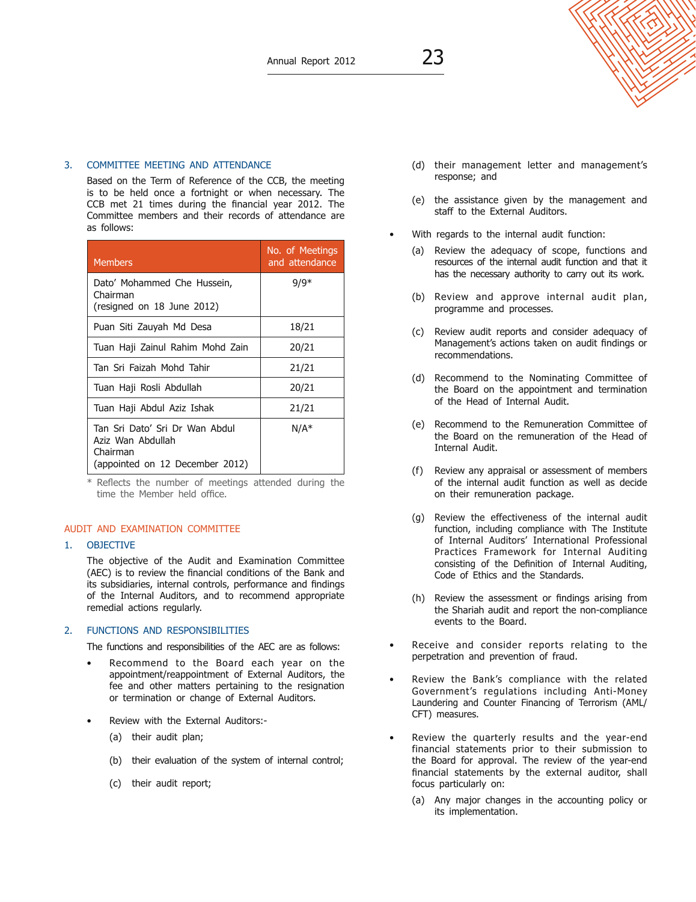# 3. Committee Meeting and Attendance

 Based on the Term of Reference of the CCB, the meeting is to be held once a fortnight or when necessary. The CCB met 21 times during the financial year 2012. The Committee members and their records of attendance are as follows:

| <b>Members</b>                                                                                     | No. of Meetings<br>and attendance |
|----------------------------------------------------------------------------------------------------|-----------------------------------|
| Dato' Mohammed Che Hussein,<br>Chairman<br>(resigned on 18 June 2012)                              | $9/9*$                            |
| Puan Siti Zauyah Md Desa                                                                           | 18/21                             |
| Tuan Haji Zainul Rahim Mohd Zain                                                                   | 20/21                             |
| Tan Sri Faizah Mohd Tahir                                                                          | 21/21                             |
| Tuan Haji Rosli Abdullah                                                                           | 20/21                             |
| Tuan Haji Abdul Aziz Ishak                                                                         | 21/21                             |
| Tan Sri Dato' Sri Dr Wan Abdul<br>Aziz Wan Abdullah<br>Chairman<br>(appointed on 12 December 2012) | $N/A^*$                           |

Reflects the number of meetings attended during the time the Member held office.

# AUDIT AND EXAMINATION COMMITTEE

# 1. OBJECTIVE

The objective of the Audit and Examination Committee (AEC) is to review the financial conditions of the Bank and its subsidiaries, internal controls, performance and findings of the Internal Auditors, and to recommend appropriate remedial actions regularly.

# 2. Functions and Responsibilities

The functions and responsibilities of the AEC are as follows:

- Recommend to the Board each year on the appointment/reappointment of External Auditors, the fee and other matters pertaining to the resignation or termination or change of External Auditors.
- Review with the External Auditors:-
	- (a) their audit plan;
	- (b) their evaluation of the system of internal control;
	- (c) their audit report;
- (d) their management letter and management's response; and
- (e) the assistance given by the management and staff to the External Auditors.
- With regards to the internal audit function:
	- (a) Review the adequacy of scope, functions and resources of the internal audit function and that it has the necessary authority to carry out its work.
	- (b) Review and approve internal audit plan, programme and processes.
	- (c) Review audit reports and consider adequacy of Management's actions taken on audit findings or recommendations.
	- (d) Recommend to the Nominating Committee of the Board on the appointment and termination of the Head of Internal Audit.
	- (e) Recommend to the Remuneration Committee of the Board on the remuneration of the Head of Internal Audit.
	- (f) Review any appraisal or assessment of members of the internal audit function as well as decide on their remuneration package.
	- (g) Review the effectiveness of the internal audit function, including compliance with The Institute of Internal Auditors' International Professional Practices Framework for Internal Auditing consisting of the Definition of Internal Auditing, Code of Ethics and the Standards.
	- (h) Review the assessment or findings arising from the Shariah audit and report the non-compliance events to the Board.
- Receive and consider reports relating to the perpetration and prevention of fraud.
- Review the Bank's compliance with the related Government's regulations including Anti-Money Laundering and Counter Financing of Terrorism (AML/ CFT) measures.
- Review the quarterly results and the year-end financial statements prior to their submission to the Board for approval. The review of the year-end financial statements by the external auditor, shall focus particularly on:
	- (a) Any major changes in the accounting policy or its implementation.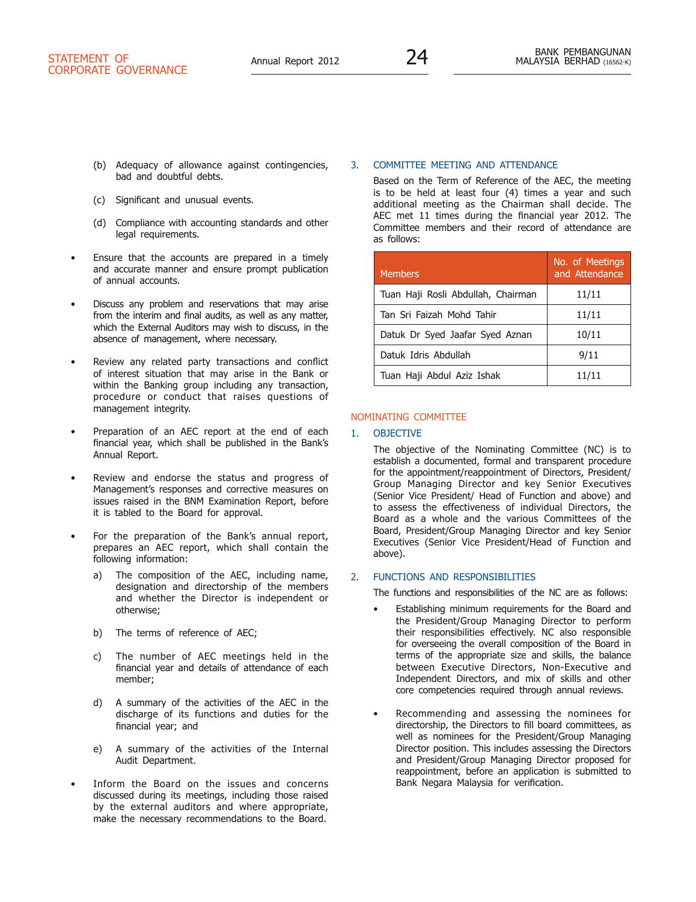- (b) Adequacy of allowance against contingencies, bad and doubtful debts.
- (c) Significant and unusual events.
- (d) Compliance with accounting standards and other legal requirements.
- Ensure that the accounts are prepared in a timely and accurate manner and ensure prompt publication of annual accounts.
- Discuss any problem and reservations that may arise from the interim and final audits, as well as any matter, which the External Auditors may wish to discuss, in the absence of management, where necessary.
- Review any related party transactions and conflict of interest situation that may arise in the Bank or within the Banking group including any transaction, procedure or conduct that raises questions of management integrity.
- Preparation of an AEC report at the end of each financial year, which shall be published in the Bank's Annual Report.
- Review and endorse the status and progress of Management's responses and corrective measures on issues raised in the BNM Examination Report, before it is tabled to the Board for approval.
- For the preparation of the Bank's annual report, prepares an AEC report, which shall contain the following information:
	- a) The composition of the AEC, including name, designation and directorship of the members and whether the Director is independent or otherwise;
	- b) The terms of reference of AEC;
	- c) The number of AEC meetings held in the financial year and details of attendance of each member;
	- d) A summary of the activities of the AEC in the discharge of its functions and duties for the financial year; and
	- e) A summary of the activities of the Internal Audit Department.
- Inform the Board on the issues and concerns discussed during its meetings, including those raised by the external auditors and where appropriate, make the necessary recommendations to the Board.

## 3. Committee Meeting and Attendance

 Based on the Term of Reference of the AEC, the meeting is to be held at least four (4) times a year and such additional meeting as the Chairman shall decide. The AEC met 11 times during the financial year 2012. The Committee members and their record of attendance are as follows:

| <b>Members</b>                     | No. of Meetings<br>and Attendance |
|------------------------------------|-----------------------------------|
| Tuan Haji Rosli Abdullah, Chairman | 11/11                             |
| Tan Sri Faizah Mohd Tahir          | 11/11                             |
| Datuk Dr Syed Jaafar Syed Aznan    | 10/11                             |
| Datuk Idris Abdullah               | 9/11                              |
| Tuan Haji Abdul Aziz Ishak         | 11/11                             |

## NOMINATING COMMITTEE

## 1. OBJECTIVE

The objective of the Nominating Committee (NC) is to establish a documented, formal and transparent procedure for the appointment/reappointment of Directors, President/ Group Managing Director and key Senior Executives (Senior Vice President/ Head of Function and above) and to assess the effectiveness of individual Directors, the Board as a whole and the various Committees of the Board, President/Group Managing Director and key Senior Executives (Senior Vice President/Head of Function and above).

# 2. Functions and Responsibilities

The functions and responsibilities of the NC are as follows:

- Establishing minimum requirements for the Board and the President/Group Managing Director to perform their responsibilities effectively. NC also responsible for overseeing the overall composition of the Board in terms of the appropriate size and skills, the balance between Executive Directors, Non-Executive and Independent Directors, and mix of skills and other core competencies required through annual reviews.
- Recommending and assessing the nominees for directorship, the Directors to fill board committees, as well as nominees for the President/Group Managing Director position. This includes assessing the Directors and President/Group Managing Director proposed for reappointment, before an application is submitted to Bank Negara Malaysia for verification.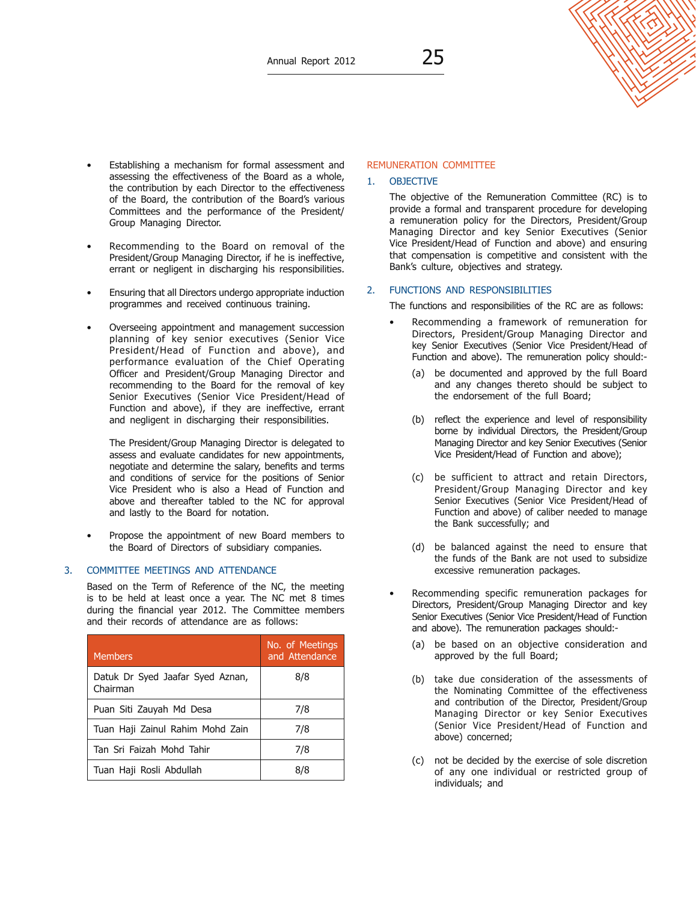#### Establishing a mechanism for formal assessment and assessing the effectiveness of the Board as a whole, the contribution by each Director to the effectiveness of the Board, the contribution of the Board's various Committees and the performance of the President/ Group Managing Director.

- Recommending to the Board on removal of the President/Group Managing Director, if he is ineffective, errant or negligent in discharging his responsibilities.
- Ensuring that all Directors undergo appropriate induction programmes and received continuous training.
- Overseeing appointment and management succession planning of key senior executives (Senior Vice President/Head of Function and above), and performance evaluation of the Chief Operating Officer and President/Group Managing Director and recommending to the Board for the removal of key Senior Executives (Senior Vice President/Head of Function and above), if they are ineffective, errant and negligent in discharging their responsibilities.

 The President/Group Managing Director is delegated to assess and evaluate candidates for new appointments, negotiate and determine the salary, benefits and terms and conditions of service for the positions of Senior Vice President who is also a Head of Function and above and thereafter tabled to the NC for approval and lastly to the Board for notation.

• Propose the appointment of new Board members to the Board of Directors of subsidiary companies.

#### 3. Committee Meetings and Attendance

 Based on the Term of Reference of the NC, the meeting is to be held at least once a year. The NC met 8 times during the financial year 2012. The Committee members and their records of attendance are as follows:

| <b>Members</b>                               | No. of Meetings<br>and Attendance |
|----------------------------------------------|-----------------------------------|
| Datuk Dr Syed Jaafar Syed Aznan,<br>Chairman | 8/8                               |
| Puan Siti Zauyah Md Desa                     | 7/8                               |
| Tuan Haji Zainul Rahim Mohd Zain             | 7/8                               |
| Tan Sri Faizah Mohd Tahir                    | 7/8                               |
| Tuan Haji Rosli Abdullah                     | 8/8                               |

# REMUNERATION COMMITTEE

# 1. OBJECTIVE

The objective of the Remuneration Committee (RC) is to provide a formal and transparent procedure for developing a remuneration policy for the Directors, President/Group Managing Director and key Senior Executives (Senior Vice President/Head of Function and above) and ensuring that compensation is competitive and consistent with the Bank's culture, objectives and strategy.

#### 2. Functions and Responsibilities

The functions and responsibilities of the RC are as follows:

- Recommending a framework of remuneration for Directors, President/Group Managing Director and key Senior Executives (Senior Vice President/Head of Function and above). The remuneration policy should:-
	- (a) be documented and approved by the full Board and any changes thereto should be subject to the endorsement of the full Board;
	- (b) reflect the experience and level of responsibility borne by individual Directors, the President/Group Managing Director and key Senior Executives (Senior Vice President/Head of Function and above);
	- (c) be sufficient to attract and retain Directors, President/Group Managing Director and key Senior Executives (Senior Vice President/Head of Function and above) of caliber needed to manage the Bank successfully; and
	- (d) be balanced against the need to ensure that the funds of the Bank are not used to subsidize excessive remuneration packages.
- Recommending specific remuneration packages for Directors, President/Group Managing Director and key Senior Executives (Senior Vice President/Head of Function and above). The remuneration packages should:-
	- (a) be based on an objective consideration and approved by the full Board;
	- (b) take due consideration of the assessments of the Nominating Committee of the effectiveness and contribution of the Director, President/Group Managing Director or key Senior Executives (Senior Vice President/Head of Function and above) concerned;
	- (c) not be decided by the exercise of sole discretion of any one individual or restricted group of individuals; and